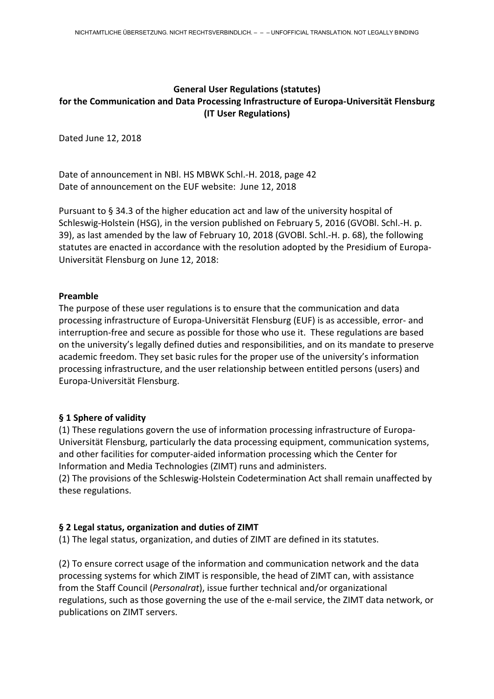# **General User Regulations (statutes) for the Communication and Data Processing Infrastructure of Europa-Universität Flensburg (IT User Regulations)**

Dated June 12, 2018

Date of announcement in NBl. HS MBWK Schl.-H. 2018, page 42 Date of announcement on the EUF website: June 12, 2018

Pursuant to § 34.3 of the higher education act and law of the university hospital of Schleswig-Holstein (HSG), in the version published on February 5, 2016 (GVOBl. Schl.-H. p. 39), as last amended by the law of February 10, 2018 (GVOBl. Schl.-H. p. 68), the following statutes are enacted in accordance with the resolution adopted by the Presidium of Europa-Universität Flensburg on June 12, 2018:

#### **Preamble**

The purpose of these user regulations is to ensure that the communication and data processing infrastructure of Europa-Universität Flensburg (EUF) is as accessible, error- and interruption-free and secure as possible for those who use it. These regulations are based on the university's legally defined duties and responsibilities, and on its mandate to preserve academic freedom. They set basic rules for the proper use of the university's information processing infrastructure, and the user relationship between entitled persons (users) and Europa-Universität Flensburg.

## **§ 1 Sphere of validity**

(1) These regulations govern the use of information processing infrastructure of Europa-Universität Flensburg, particularly the data processing equipment, communication systems, and other facilities for computer-aided information processing which the Center for Information and Media Technologies (ZIMT) runs and administers.

(2) The provisions of the Schleswig-Holstein Codetermination Act shall remain unaffected by these regulations.

## **§ 2 Legal status, organization and duties of ZIMT**

(1) The legal status, organization, and duties of ZIMT are defined in its statutes.

(2) To ensure correct usage of the information and communication network and the data processing systems for which ZIMT is responsible, the head of ZIMT can, with assistance from the Staff Council (*Personalrat*), issue further technical and/or organizational regulations, such as those governing the use of the e-mail service, the ZIMT data network, or publications on ZIMT servers.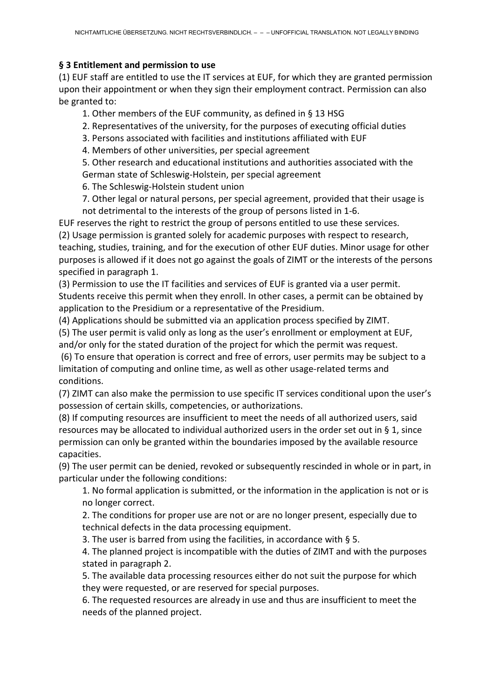## **§ 3 Entitlement and permission to use**

(1) EUF staff are entitled to use the IT services at EUF, for which they are granted permission upon their appointment or when they sign their employment contract. Permission can also be granted to:

1. Other members of the EUF community, as defined in § 13 HSG

- 2. Representatives of the university, for the purposes of executing official duties
- 3. Persons associated with facilities and institutions affiliated with EUF
- 4. Members of other universities, per special agreement

5. Other research and educational institutions and authorities associated with the German state of Schleswig-Holstein, per special agreement

6. The Schleswig-Holstein student union

7. Other legal or natural persons, per special agreement, provided that their usage is not detrimental to the interests of the group of persons listed in 1-6.

EUF reserves the right to restrict the group of persons entitled to use these services.

(2) Usage permission is granted solely for academic purposes with respect to research, teaching, studies, training, and for the execution of other EUF duties. Minor usage for other purposes is allowed if it does not go against the goals of ZIMT or the interests of the persons specified in paragraph 1.

(3) Permission to use the IT facilities and services of EUF is granted via a user permit. Students receive this permit when they enroll. In other cases, a permit can be obtained by application to the Presidium or a representative of the Presidium.

(4) Applications should be submitted via an application process specified by ZIMT.

(5) The user permit is valid only as long as the user's enrollment or employment at EUF, and/or only for the stated duration of the project for which the permit was request.

(6) To ensure that operation is correct and free of errors, user permits may be subject to a limitation of computing and online time, as well as other usage-related terms and conditions.

(7) ZIMT can also make the permission to use specific IT services conditional upon the user's possession of certain skills, competencies, or authorizations.

(8) If computing resources are insufficient to meet the needs of all authorized users, said resources may be allocated to individual authorized users in the order set out in § 1, since permission can only be granted within the boundaries imposed by the available resource capacities.

(9) The user permit can be denied, revoked or subsequently rescinded in whole or in part, in particular under the following conditions:

1. No formal application is submitted, or the information in the application is not or is no longer correct.

2. The conditions for proper use are not or are no longer present, especially due to technical defects in the data processing equipment.

3. The user is barred from using the facilities, in accordance with § 5.

4. The planned project is incompatible with the duties of ZIMT and with the purposes stated in paragraph 2.

5. The available data processing resources either do not suit the purpose for which they were requested, or are reserved for special purposes.

6. The requested resources are already in use and thus are insufficient to meet the needs of the planned project.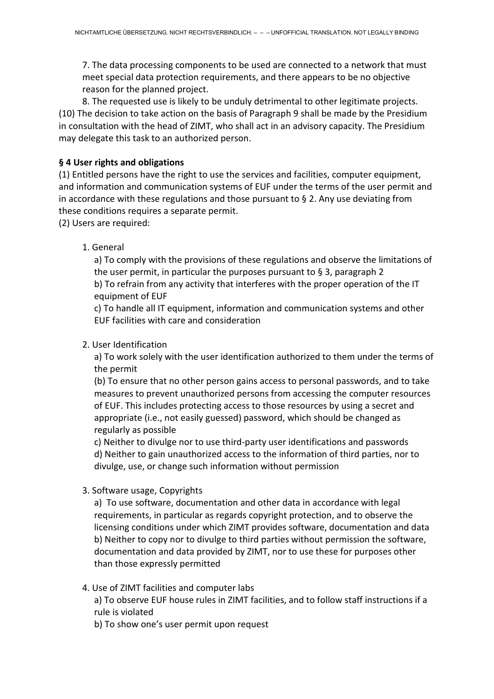7. The data processing components to be used are connected to a network that must meet special data protection requirements, and there appears to be no objective reason for the planned project.

8. The requested use is likely to be unduly detrimental to other legitimate projects. (10) The decision to take action on the basis of Paragraph 9 shall be made by the Presidium in consultation with the head of ZIMT, who shall act in an advisory capacity. The Presidium may delegate this task to an authorized person.

## **§ 4 User rights and obligations**

(1) Entitled persons have the right to use the services and facilities, computer equipment, and information and communication systems of EUF under the terms of the user permit and in accordance with these regulations and those pursuant to § 2. Any use deviating from these conditions requires a separate permit.

(2) Users are required:

## 1. General

a) To comply with the provisions of these regulations and observe the limitations of the user permit, in particular the purposes pursuant to  $\S$  3, paragraph 2 b) To refrain from any activity that interferes with the proper operation of the IT equipment of EUF

c) To handle all IT equipment, information and communication systems and other EUF facilities with care and consideration

#### 2. User Identification

a) To work solely with the user identification authorized to them under the terms of the permit

(b) To ensure that no other person gains access to personal passwords, and to take measures to prevent unauthorized persons from accessing the computer resources of EUF. This includes protecting access to those resources by using a secret and appropriate (i.e., not easily guessed) password, which should be changed as regularly as possible

c) Neither to divulge nor to use third-party user identifications and passwords d) Neither to gain unauthorized access to the information of third parties, nor to divulge, use, or change such information without permission

3. Software usage, Copyrights

a) To use software, documentation and other data in accordance with legal requirements, in particular as regards copyright protection, and to observe the licensing conditions under which ZIMT provides software, documentation and data b) Neither to copy nor to divulge to third parties without permission the software, documentation and data provided by ZIMT, nor to use these for purposes other than those expressly permitted

4. Use of ZIMT facilities and computer labs

a) To observe EUF house rules in ZIMT facilities, and to follow staff instructions if a rule is violated

b) To show one's user permit upon request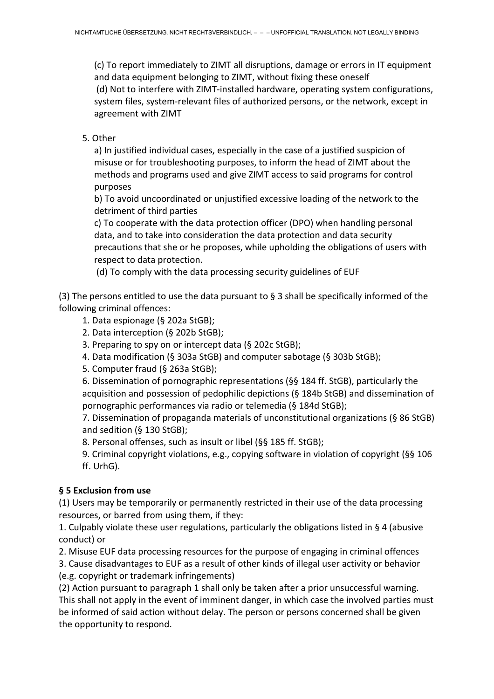(c) To report immediately to ZIMT all disruptions, damage or errors in IT equipment and data equipment belonging to ZIMT, without fixing these oneself (d) Not to interfere with ZIMT-installed hardware, operating system configurations, system files, system-relevant files of authorized persons, or the network, except in agreement with ZIMT

## 5. Other

a) In justified individual cases, especially in the case of a justified suspicion of misuse or for troubleshooting purposes, to inform the head of ZIMT about the methods and programs used and give ZIMT access to said programs for control purposes

b) To avoid uncoordinated or unjustified excessive loading of the network to the detriment of third parties

c) To cooperate with the data protection officer (DPO) when handling personal data, and to take into consideration the data protection and data security precautions that she or he proposes, while upholding the obligations of users with respect to data protection.

(d) To comply with the data processing security guidelines of EUF

(3) The persons entitled to use the data pursuant to § 3 shall be specifically informed of the following criminal offences:

- 1. Data espionage (§ 202a StGB);
- 2. Data interception (§ 202b StGB);
- 3. Preparing to spy on or intercept data (§ 202c StGB);
- 4. Data modification (§ 303a StGB) and computer sabotage (§ 303b StGB);
- 5. Computer fraud (§ 263a StGB);

6. Dissemination of pornographic representations (§§ 184 ff. StGB), particularly the acquisition and possession of pedophilic depictions (§ 184b StGB) and dissemination of pornographic performances via radio or telemedia (§ 184d StGB);

7. Dissemination of propaganda materials of unconstitutional organizations (§ 86 StGB) and sedition (§ 130 StGB);

8. Personal offenses, such as insult or libel (§§ 185 ff. StGB);

9. Criminal copyright violations, e.g., copying software in violation of copyright (§§ 106 ff. UrhG).

# **§ 5 Exclusion from use**

(1) Users may be temporarily or permanently restricted in their use of the data processing resources, or barred from using them, if they:

1. Culpably violate these user regulations, particularly the obligations listed in § 4 (abusive conduct) or

2. Misuse EUF data processing resources for the purpose of engaging in criminal offences

3. Cause disadvantages to EUF as a result of other kinds of illegal user activity or behavior (e.g. copyright or trademark infringements)

(2) Action pursuant to paragraph 1 shall only be taken after a prior unsuccessful warning. This shall not apply in the event of imminent danger, in which case the involved parties must be informed of said action without delay. The person or persons concerned shall be given the opportunity to respond.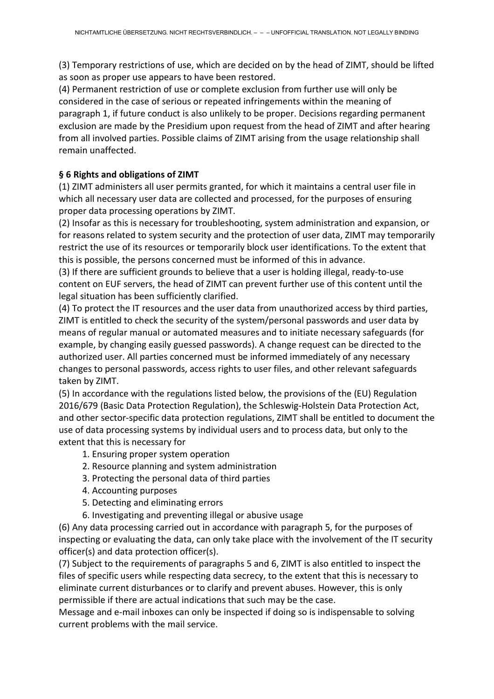(3) Temporary restrictions of use, which are decided on by the head of ZIMT, should be lifted as soon as proper use appears to have been restored.

(4) Permanent restriction of use or complete exclusion from further use will only be considered in the case of serious or repeated infringements within the meaning of paragraph 1, if future conduct is also unlikely to be proper. Decisions regarding permanent exclusion are made by the Presidium upon request from the head of ZIMT and after hearing from all involved parties. Possible claims of ZIMT arising from the usage relationship shall remain unaffected.

# **§ 6 Rights and obligations of ZIMT**

(1) ZIMT administers all user permits granted, for which it maintains a central user file in which all necessary user data are collected and processed, for the purposes of ensuring proper data processing operations by ZIMT.

(2) Insofar as this is necessary for troubleshooting, system administration and expansion, or for reasons related to system security and the protection of user data, ZIMT may temporarily restrict the use of its resources or temporarily block user identifications. To the extent that this is possible, the persons concerned must be informed of this in advance.

(3) If there are sufficient grounds to believe that a user is holding illegal, ready-to-use content on EUF servers, the head of ZIMT can prevent further use of this content until the legal situation has been sufficiently clarified.

(4) To protect the IT resources and the user data from unauthorized access by third parties, ZIMT is entitled to check the security of the system/personal passwords and user data by means of regular manual or automated measures and to initiate necessary safeguards (for example, by changing easily guessed passwords). A change request can be directed to the authorized user. All parties concerned must be informed immediately of any necessary changes to personal passwords, access rights to user files, and other relevant safeguards taken by ZIMT.

(5) In accordance with the regulations listed below, the provisions of the (EU) Regulation 2016/679 (Basic Data Protection Regulation), the Schleswig-Holstein Data Protection Act, and other sector-specific data protection regulations, ZIMT shall be entitled to document the use of data processing systems by individual users and to process data, but only to the extent that this is necessary for

- 1. Ensuring proper system operation
- 2. Resource planning and system administration
- 3. Protecting the personal data of third parties
- 4. Accounting purposes
- 5. Detecting and eliminating errors
- 6. Investigating and preventing illegal or abusive usage

(6) Any data processing carried out in accordance with paragraph 5, for the purposes of inspecting or evaluating the data, can only take place with the involvement of the IT security officer(s) and data protection officer(s).

(7) Subject to the requirements of paragraphs 5 and 6, ZIMT is also entitled to inspect the files of specific users while respecting data secrecy, to the extent that this is necessary to eliminate current disturbances or to clarify and prevent abuses. However, this is only permissible if there are actual indications that such may be the case.

Message and e-mail inboxes can only be inspected if doing so is indispensable to solving current problems with the mail service.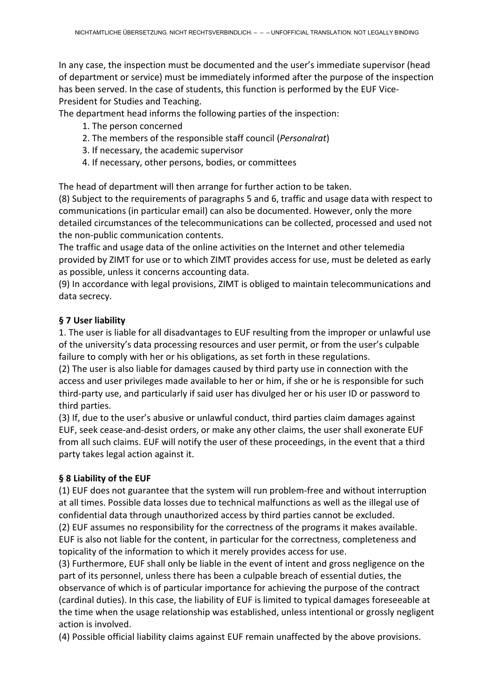In any case, the inspection must be documented and the user's immediate supervisor (head of department or service) must be immediately informed after the purpose of the inspection has been served. In the case of students, this function is performed by the EUF Vice-President for Studies and Teaching.

The department head informs the following parties of the inspection:

- 1. The person concerned
- 2. The members of the responsible staff council (*Personalrat*)
- 3. If necessary, the academic supervisor
- 4. If necessary, other persons, bodies, or committees

The head of department will then arrange for further action to be taken.

(8) Subject to the requirements of paragraphs 5 and 6, traffic and usage data with respect to communications (in particular email) can also be documented. However, only the more detailed circumstances of the telecommunications can be collected, processed and used not the non-public communication contents.

The traffic and usage data of the online activities on the Internet and other telemedia provided by ZIMT for use or to which ZIMT provides access for use, must be deleted as early as possible, unless it concerns accounting data.

(9) In accordance with legal provisions, ZIMT is obliged to maintain telecommunications and data secrecy.

## **§ 7 User liability**

1. The user is liable for all disadvantages to EUF resulting from the improper or unlawful use of the university's data processing resources and user permit, or from the user's culpable failure to comply with her or his obligations, as set forth in these regulations.

(2) The user is also liable for damages caused by third party use in connection with the access and user privileges made available to her or him, if she or he is responsible for such third-party use, and particularly if said user has divulged her or his user ID or password to third parties.

(3) If, due to the user's abusive or unlawful conduct, third parties claim damages against EUF, seek cease-and-desist orders, or make any other claims, the user shall exonerate EUF from all such claims. EUF will notify the user of these proceedings, in the event that a third party takes legal action against it.

## **§ 8 Liability of the EUF**

(1) EUF does not guarantee that the system will run problem-free and without interruption at all times. Possible data losses due to technical malfunctions as well as the illegal use of confidential data through unauthorized access by third parties cannot be excluded.

(2) EUF assumes no responsibility for the correctness of the programs it makes available. EUF is also not liable for the content, in particular for the correctness, completeness and topicality of the information to which it merely provides access for use.

(3) Furthermore, EUF shall only be liable in the event of intent and gross negligence on the part of its personnel, unless there has been a culpable breach of essential duties, the observance of which is of particular importance for achieving the purpose of the contract (cardinal duties). In this case, the liability of EUF is limited to typical damages foreseeable at the time when the usage relationship was established, unless intentional or grossly negligent action is involved.

(4) Possible official liability claims against EUF remain unaffected by the above provisions.